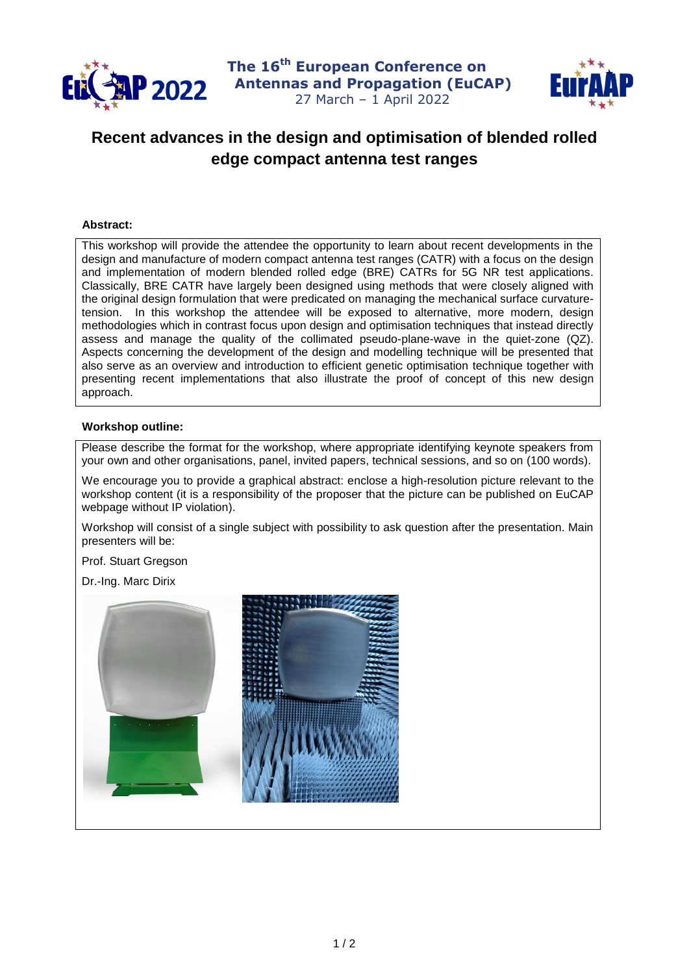

**The 16 th European Conference on P 2022** Antennas and Propagation (EuCAP) 27 March – 1 April 2022



## **Recent advances in the design and optimisation of blended rolled edge compact antenna test ranges**

## **Abstract:**

This workshop will provide the attendee the opportunity to learn about recent developments in the design and manufacture of modern compact antenna test ranges (CATR) with a focus on the design and implementation of modern blended rolled edge (BRE) CATRs for 5G NR test applications. Classically, BRE CATR have largely been designed using methods that were closely aligned with the original design formulation that were predicated on managing the mechanical surface curvaturetension. In this workshop the attendee will be exposed to alternative, more modern, design methodologies which in contrast focus upon design and optimisation techniques that instead directly assess and manage the quality of the collimated pseudo-plane-wave in the quiet-zone (QZ). Aspects concerning the development of the design and modelling technique will be presented that also serve as an overview and introduction to efficient genetic optimisation technique together with presenting recent implementations that also illustrate the proof of concept of this new design approach.

## **Workshop outline:**

Please describe the format for the workshop, where appropriate identifying keynote speakers from your own and other organisations, panel, invited papers, technical sessions, and so on (100 words).

We encourage you to provide a graphical abstract: enclose a high-resolution picture relevant to the workshop content (it is a responsibility of the proposer that the picture can be published on EuCAP webpage without IP violation).

Workshop will consist of a single subject with possibility to ask question after the presentation. Main presenters will be:

Prof. Stuart Gregson

Dr.-Ing. Marc Dirix